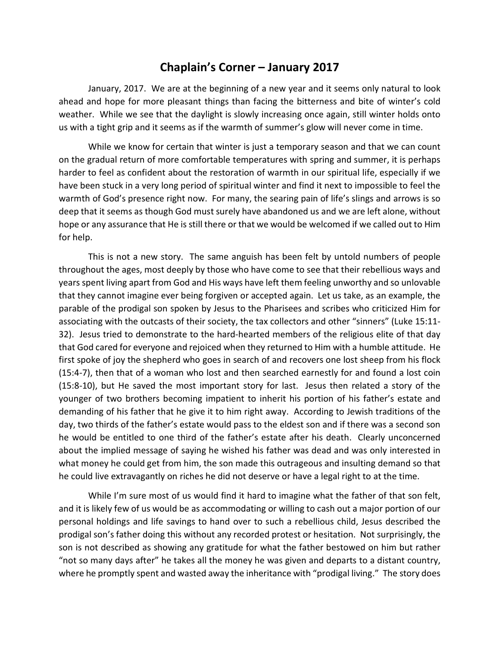## Chaplain's Corner – January 2017

 January, 2017. We are at the beginning of a new year and it seems only natural to look ahead and hope for more pleasant things than facing the bitterness and bite of winter's cold weather. While we see that the daylight is slowly increasing once again, still winter holds onto us with a tight grip and it seems as if the warmth of summer's glow will never come in time.

 While we know for certain that winter is just a temporary season and that we can count on the gradual return of more comfortable temperatures with spring and summer, it is perhaps harder to feel as confident about the restoration of warmth in our spiritual life, especially if we have been stuck in a very long period of spiritual winter and find it next to impossible to feel the warmth of God's presence right now. For many, the searing pain of life's slings and arrows is so deep that it seems as though God must surely have abandoned us and we are left alone, without hope or any assurance that He is still there or that we would be welcomed if we called out to Him for help.

 This is not a new story. The same anguish has been felt by untold numbers of people throughout the ages, most deeply by those who have come to see that their rebellious ways and years spent living apart from God and His ways have left them feeling unworthy and so unlovable that they cannot imagine ever being forgiven or accepted again. Let us take, as an example, the parable of the prodigal son spoken by Jesus to the Pharisees and scribes who criticized Him for associating with the outcasts of their society, the tax collectors and other "sinners" (Luke 15:11- 32). Jesus tried to demonstrate to the hard-hearted members of the religious elite of that day that God cared for everyone and rejoiced when they returned to Him with a humble attitude. He first spoke of joy the shepherd who goes in search of and recovers one lost sheep from his flock (15:4-7), then that of a woman who lost and then searched earnestly for and found a lost coin (15:8-10), but He saved the most important story for last. Jesus then related a story of the younger of two brothers becoming impatient to inherit his portion of his father's estate and demanding of his father that he give it to him right away. According to Jewish traditions of the day, two thirds of the father's estate would pass to the eldest son and if there was a second son he would be entitled to one third of the father's estate after his death. Clearly unconcerned about the implied message of saying he wished his father was dead and was only interested in what money he could get from him, the son made this outrageous and insulting demand so that he could live extravagantly on riches he did not deserve or have a legal right to at the time.

 While I'm sure most of us would find it hard to imagine what the father of that son felt, and it is likely few of us would be as accommodating or willing to cash out a major portion of our personal holdings and life savings to hand over to such a rebellious child, Jesus described the prodigal son's father doing this without any recorded protest or hesitation. Not surprisingly, the son is not described as showing any gratitude for what the father bestowed on him but rather "not so many days after" he takes all the money he was given and departs to a distant country, where he promptly spent and wasted away the inheritance with "prodigal living." The story does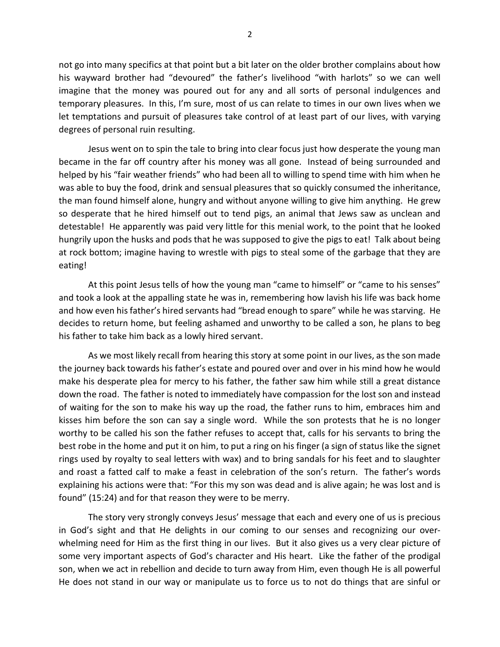not go into many specifics at that point but a bit later on the older brother complains about how his wayward brother had "devoured" the father's livelihood "with harlots" so we can well imagine that the money was poured out for any and all sorts of personal indulgences and temporary pleasures. In this, I'm sure, most of us can relate to times in our own lives when we let temptations and pursuit of pleasures take control of at least part of our lives, with varying degrees of personal ruin resulting.

 Jesus went on to spin the tale to bring into clear focus just how desperate the young man became in the far off country after his money was all gone. Instead of being surrounded and helped by his "fair weather friends" who had been all to willing to spend time with him when he was able to buy the food, drink and sensual pleasures that so quickly consumed the inheritance, the man found himself alone, hungry and without anyone willing to give him anything. He grew so desperate that he hired himself out to tend pigs, an animal that Jews saw as unclean and detestable! He apparently was paid very little for this menial work, to the point that he looked hungrily upon the husks and pods that he was supposed to give the pigs to eat! Talk about being at rock bottom; imagine having to wrestle with pigs to steal some of the garbage that they are eating!

 At this point Jesus tells of how the young man "came to himself" or "came to his senses" and took a look at the appalling state he was in, remembering how lavish his life was back home and how even his father's hired servants had "bread enough to spare" while he was starving. He decides to return home, but feeling ashamed and unworthy to be called a son, he plans to beg his father to take him back as a lowly hired servant.

 As we most likely recall from hearing this story at some point in our lives, as the son made the journey back towards his father's estate and poured over and over in his mind how he would make his desperate plea for mercy to his father, the father saw him while still a great distance down the road. The father is noted to immediately have compassion for the lost son and instead of waiting for the son to make his way up the road, the father runs to him, embraces him and kisses him before the son can say a single word. While the son protests that he is no longer worthy to be called his son the father refuses to accept that, calls for his servants to bring the best robe in the home and put it on him, to put a ring on his finger (a sign of status like the signet rings used by royalty to seal letters with wax) and to bring sandals for his feet and to slaughter and roast a fatted calf to make a feast in celebration of the son's return. The father's words explaining his actions were that: "For this my son was dead and is alive again; he was lost and is found" (15:24) and for that reason they were to be merry.

 The story very strongly conveys Jesus' message that each and every one of us is precious in God's sight and that He delights in our coming to our senses and recognizing our overwhelming need for Him as the first thing in our lives. But it also gives us a very clear picture of some very important aspects of God's character and His heart. Like the father of the prodigal son, when we act in rebellion and decide to turn away from Him, even though He is all powerful He does not stand in our way or manipulate us to force us to not do things that are sinful or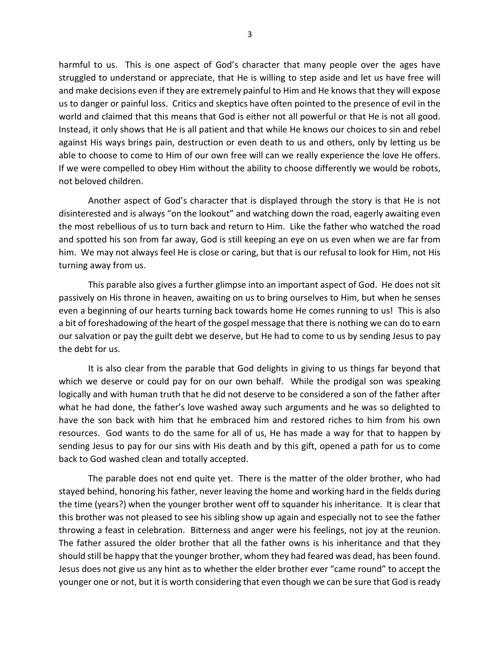harmful to us. This is one aspect of God's character that many people over the ages have struggled to understand or appreciate, that He is willing to step aside and let us have free will and make decisions even if they are extremely painful to Him and He knows that they will expose us to danger or painful loss. Critics and skeptics have often pointed to the presence of evil in the world and claimed that this means that God is either not all powerful or that He is not all good. Instead, it only shows that He is all patient and that while He knows our choices to sin and rebel against His ways brings pain, destruction or even death to us and others, only by letting us be able to choose to come to Him of our own free will can we really experience the love He offers. If we were compelled to obey Him without the ability to choose differently we would be robots, not beloved children.

 Another aspect of God's character that is displayed through the story is that He is not disinterested and is always "on the lookout" and watching down the road, eagerly awaiting even the most rebellious of us to turn back and return to Him. Like the father who watched the road and spotted his son from far away, God is still keeping an eye on us even when we are far from him. We may not always feel He is close or caring, but that is our refusal to look for Him, not His turning away from us.

 This parable also gives a further glimpse into an important aspect of God. He does not sit passively on His throne in heaven, awaiting on us to bring ourselves to Him, but when he senses even a beginning of our hearts turning back towards home He comes running to us! This is also a bit of foreshadowing of the heart of the gospel message that there is nothing we can do to earn our salvation or pay the guilt debt we deserve, but He had to come to us by sending Jesus to pay the debt for us.

 It is also clear from the parable that God delights in giving to us things far beyond that which we deserve or could pay for on our own behalf. While the prodigal son was speaking logically and with human truth that he did not deserve to be considered a son of the father after what he had done, the father's love washed away such arguments and he was so delighted to have the son back with him that he embraced him and restored riches to him from his own resources. God wants to do the same for all of us, He has made a way for that to happen by sending Jesus to pay for our sins with His death and by this gift, opened a path for us to come back to God washed clean and totally accepted.

 The parable does not end quite yet. There is the matter of the older brother, who had stayed behind, honoring his father, never leaving the home and working hard in the fields during the time (years?) when the younger brother went off to squander his inheritance. It is clear that this brother was not pleased to see his sibling show up again and especially not to see the father throwing a feast in celebration. Bitterness and anger were his feelings, not joy at the reunion. The father assured the older brother that all the father owns is his inheritance and that they should still be happy that the younger brother, whom they had feared was dead, has been found. Jesus does not give us any hint as to whether the elder brother ever "came round" to accept the younger one or not, but it is worth considering that even though we can be sure that God is ready